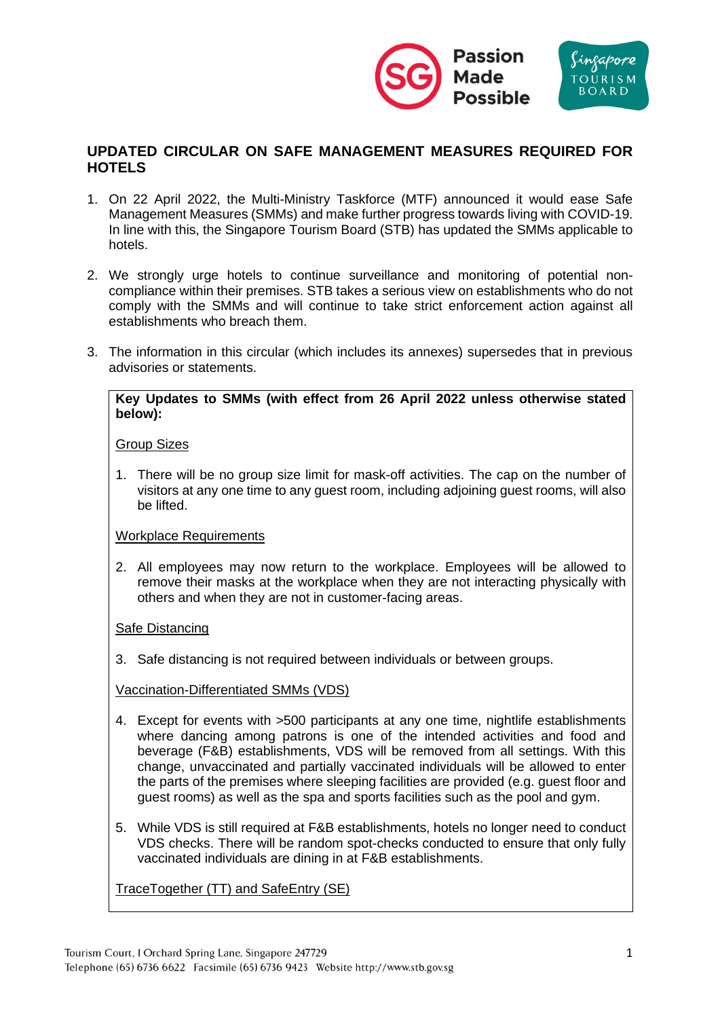

# **UPDATED CIRCULAR ON SAFE MANAGEMENT MEASURES REQUIRED FOR HOTELS**

- 1. On 22 April 2022, the Multi-Ministry Taskforce (MTF) announced it would ease Safe Management Measures (SMMs) and make further progress towards living with COVID-19. In line with this, the Singapore Tourism Board (STB) has updated the SMMs applicable to hotels.
- 2. We strongly urge hotels to continue surveillance and monitoring of potential noncompliance within their premises. STB takes a serious view on establishments who do not comply with the SMMs and will continue to take strict enforcement action against all establishments who breach them.
- 3. The information in this circular (which includes its annexes) supersedes that in previous advisories or statements.

#### **Key Updates to SMMs (with effect from 26 April 2022 unless otherwise stated below):**

### Group Sizes

1. There will be no group size limit for mask-off activities. The cap on the number of visitors at any one time to any guest room, including adjoining guest rooms, will also be lifted.

### Workplace Requirements

2. All employees may now return to the workplace. Employees will be allowed to remove their masks at the workplace when they are not interacting physically with others and when they are not in customer-facing areas.

### Safe Distancing

3. Safe distancing is not required between individuals or between groups.

### Vaccination-Differentiated SMMs (VDS)

- 4. Except for events with >500 participants at any one time, nightlife establishments where dancing among patrons is one of the intended activities and food and beverage (F&B) establishments, VDS will be removed from all settings. With this change, unvaccinated and partially vaccinated individuals will be allowed to enter the parts of the premises where sleeping facilities are provided (e.g. guest floor and guest rooms) as well as the spa and sports facilities such as the pool and gym.
- 5. While VDS is still required at F&B establishments, hotels no longer need to conduct VDS checks. There will be random spot-checks conducted to ensure that only fully vaccinated individuals are dining in at F&B establishments.

TraceTogether (TT) and SafeEntry (SE)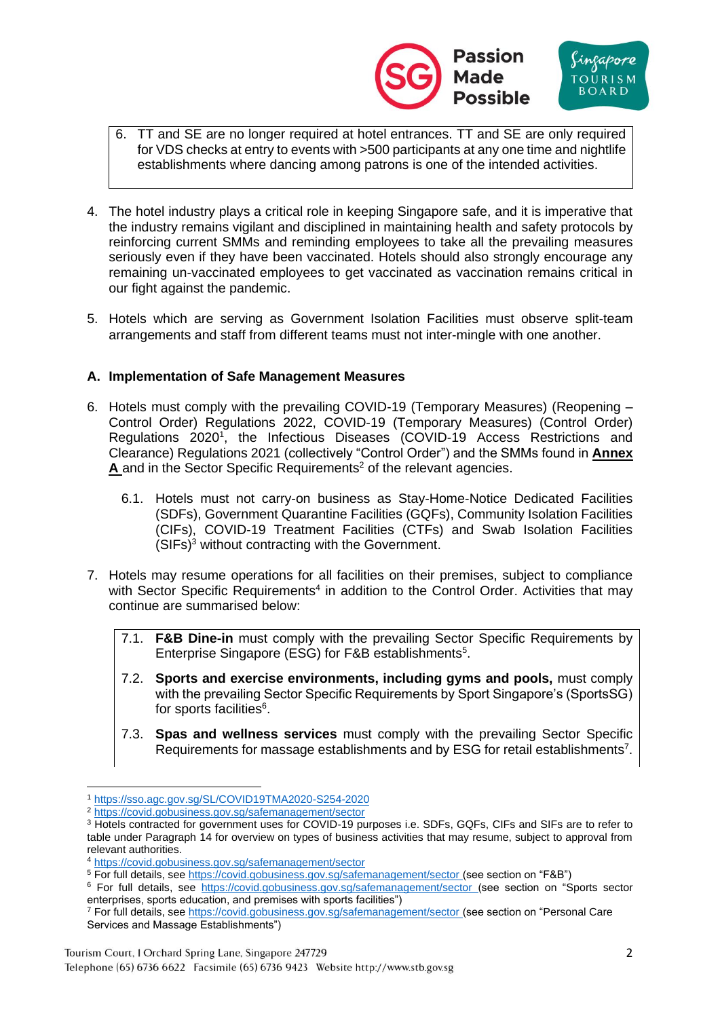



- 6. TT and SE are no longer required at hotel entrances. TT and SE are only required for VDS checks at entry to events with >500 participants at any one time and nightlife establishments where dancing among patrons is one of the intended activities.
- 4. The hotel industry plays a critical role in keeping Singapore safe, and it is imperative that the industry remains vigilant and disciplined in maintaining health and safety protocols by reinforcing current SMMs and reminding employees to take all the prevailing measures seriously even if they have been vaccinated. Hotels should also strongly encourage any remaining un-vaccinated employees to get vaccinated as vaccination remains critical in our fight against the pandemic.
- 5. Hotels which are serving as Government Isolation Facilities must observe split-team arrangements and staff from different teams must not inter-mingle with one another.

## **A. Implementation of Safe Management Measures**

- 6. Hotels must comply with the prevailing COVID-19 (Temporary Measures) (Reopening Control Order) Regulations 2022, COVID-19 (Temporary Measures) (Control Order) Regulations 2020<sup>1</sup>, the Infectious Diseases (COVID-19 Access Restrictions and Clearance) Regulations 2021 (collectively "Control Order") and the SMMs found in **Annex** A and in the Sector Specific Requirements<sup>2</sup> of the relevant agencies.
	- 6.1. Hotels must not carry-on business as Stay-Home-Notice Dedicated Facilities (SDFs), Government Quarantine Facilities (GQFs), Community Isolation Facilities (CIFs), COVID-19 Treatment Facilities (CTFs) and Swab Isolation Facilities (SIFs)<sup>3</sup> without contracting with the Government.
- 7. Hotels may resume operations for all facilities on their premises, subject to compliance with Sector Specific Requirements<sup>4</sup> in addition to the Control Order. Activities that may continue are summarised below:
	- 7.1. **F&B Dine-in** must comply with the prevailing Sector Specific Requirements by Enterprise Singapore (ESG) for F&B establishments<sup>5</sup>.
	- 7.2. **Sports and exercise environments, including gyms and pools,** must comply with the prevailing Sector Specific Requirements by Sport Singapore's (SportsSG) for sports facilities<sup>6</sup>.
	- 7.3. **Spas and wellness services** must comply with the prevailing Sector Specific Requirements for massage establishments and by ESG for retail establishments<sup>7</sup>.

<sup>1</sup> <https://sso.agc.gov.sg/SL/COVID19TMA2020-S254-2020>

<sup>2</sup> [https://covid.gobusiness.gov.sg/safemanagement/sector](https://covid.gobusiness.gov.sg/safemanagement/sector/)

<sup>3</sup> Hotels contracted for government uses for COVID-19 purposes i.e. SDFs, GQFs, CIFs and SIFs are to refer to table under Paragraph 14 for overview on types of business activities that may resume, subject to approval from relevant authorities.

<sup>4</sup> [https://covid.gobusiness.gov.sg/safemanagement/sector](https://covid.gobusiness.gov.sg/safemanagement/sector/)

<sup>5</sup> For full details, see [https://covid.gobusiness.gov.sg/safemanagement/sector](https://covid.gobusiness.gov.sg/safemanagement/sector/) (see section on "F&B")

<sup>6</sup> For full details, see [https://covid.gobusiness.gov.sg/safemanagement/sector](https://covid.gobusiness.gov.sg/safemanagement/sector/) (see section on "Sports sector enterprises, sports education, and premises with sports facilities")

<sup>7</sup> For full details, see [https://covid.gobusiness.gov.sg/safemanagement/sector](https://covid.gobusiness.gov.sg/safemanagement/sector/) (see section on "Personal Care Services and Massage Establishments")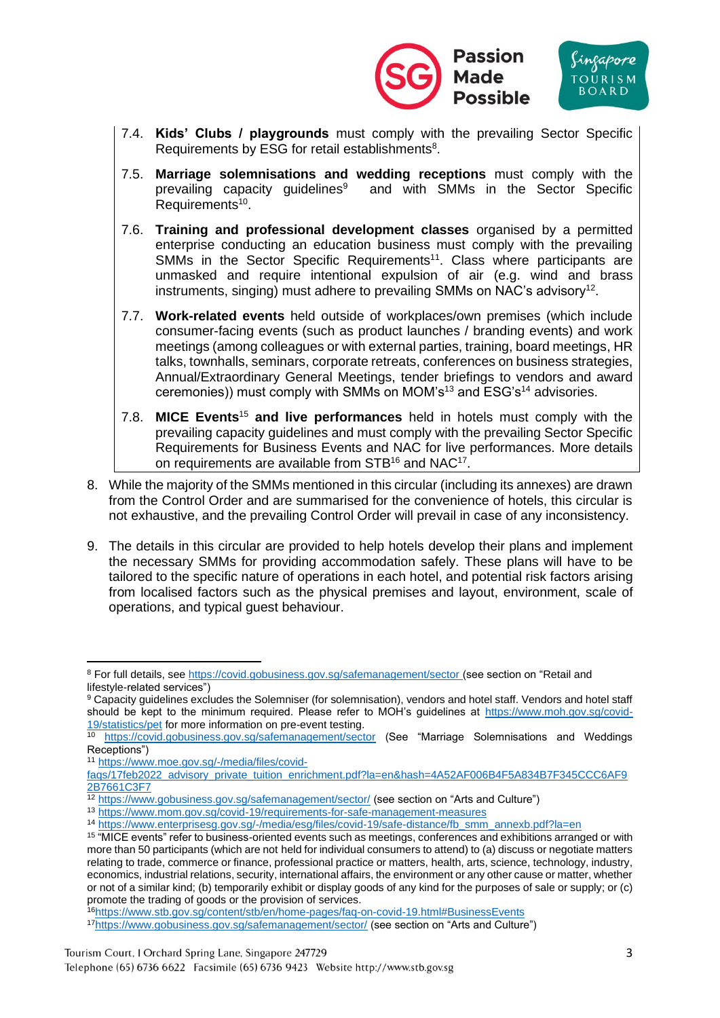



- 7.4. **Kids' Clubs / playgrounds** must comply with the prevailing Sector Specific Requirements by ESG for retail establishments<sup>8</sup>.
- 7.5. **Marriage solemnisations and wedding receptions** must comply with the prevailing capacity quidelines $9$  and with SMMs in the Sector Specific Requirements<sup>10</sup>.
- 7.6. **Training and professional development classes** organised by a permitted enterprise conducting an education business must comply with the prevailing SMMs in the Sector Specific Requirements<sup>11</sup>. Class where participants are unmasked and require intentional expulsion of air (e.g. wind and brass instruments, singing) must adhere to prevailing SMMs on NAC's advisory<sup>12</sup>.
- 7.7. **Work-related events** held outside of workplaces/own premises (which include consumer-facing events (such as product launches / branding events) and work meetings (among colleagues or with external parties, training, board meetings, HR talks, townhalls, seminars, corporate retreats, conferences on business strategies, Annual/Extraordinary General Meetings, tender briefings to vendors and award ceremonies)) must comply with SMMs on MOM's<sup>13</sup> and ESG's<sup>14</sup> advisories.
- 7.8. **MICE Events**<sup>15</sup> **and live performances** held in hotels must comply with the prevailing capacity guidelines and must comply with the prevailing Sector Specific Requirements for Business Events and NAC for live performances. More details on requirements are available from  $STB^{16}$  and  $NAC^{17}$ .
- 8. While the majority of the SMMs mentioned in this circular (including its annexes) are drawn from the Control Order and are summarised for the convenience of hotels, this circular is not exhaustive, and the prevailing Control Order will prevail in case of any inconsistency.
- 9. The details in this circular are provided to help hotels develop their plans and implement the necessary SMMs for providing accommodation safely. These plans will have to be tailored to the specific nature of operations in each hotel, and potential risk factors arising from localised factors such as the physical premises and layout, environment, scale of operations, and typical guest behaviour.

<sup>11</sup> [https://www.moe.gov.sg/-/media/files/covid-](https://www.moe.gov.sg/-/media/files/covid-faqs/17feb2022_advisory_private_tuition_enrichment.pdf?la=en&hash=4A52AF006B4F5A834B7F345CCC6AF92B7661C3F7)

<sup>16</sup><https://www.stb.gov.sg/content/stb/en/home-pages/faq-on-covid-19.html#BusinessEvents>

<sup>8</sup> For full details, see [https://covid.gobusiness.gov.sg/safemanagement/sector](https://covid.gobusiness.gov.sg/safemanagement/sector/) (see section on "Retail and lifestyle-related services")

<sup>9</sup> Capacity guidelines excludes the Solemniser (for solemnisation), vendors and hotel staff. Vendors and hotel staff should be kept to the minimum required. Please refer to MOH's guidelines at [https://www.moh.gov.sg/covid-](https://www.moh.gov.sg/covid-19/statistics/pet)[19/statistics/pet](https://www.moh.gov.sg/covid-19/statistics/pet) for more information on pre-event testing.

<sup>&</sup>lt;sup>10</sup> [https://covid.gobusiness.gov.sg/safemanagement/sector](https://covid.gobusiness.gov.sg/safemanagement/sector/) (See "Marriage Solemnisations and Weddings Receptions")

[faqs/17feb2022\\_advisory\\_private\\_tuition\\_enrichment.pdf?la=en&hash=4A52AF006B4F5A834B7F345CCC6AF9](https://www.moe.gov.sg/-/media/files/covid-faqs/17feb2022_advisory_private_tuition_enrichment.pdf?la=en&hash=4A52AF006B4F5A834B7F345CCC6AF92B7661C3F7) [2B7661C3F7](https://www.moe.gov.sg/-/media/files/covid-faqs/17feb2022_advisory_private_tuition_enrichment.pdf?la=en&hash=4A52AF006B4F5A834B7F345CCC6AF92B7661C3F7)

<sup>&</sup>lt;sup>12</sup> <https://www.gobusiness.gov.sg/safemanagement/sector/> (see section on "Arts and Culture")

<sup>13</sup> <https://www.mom.gov.sg/covid-19/requirements-for-safe-management-measures>

<sup>14</sup> [https://www.enterprisesg.gov.sg/-/media/esg/files/covid-19/safe-distance/fb\\_smm\\_annexb.pdf?la=en](https://www.enterprisesg.gov.sg/-/media/esg/files/covid-19/safe-distance/fb_smm_annexb.pdf?la=en)

<sup>&</sup>lt;sup>15</sup> "MICE events" refer to business-oriented events such as meetings, conferences and exhibitions arranged or with more than 50 participants (which are not held for individual consumers to attend) to (a) discuss or negotiate matters relating to trade, commerce or finance, professional practice or matters, health, arts, science, technology, industry, economics, industrial relations, security, international affairs, the environment or any other cause or matter, whether or not of a similar kind; (b) temporarily exhibit or display goods of any kind for the purposes of sale or supply; or (c) promote the trading of goods or the provision of services.

<sup>17</sup><https://www.gobusiness.gov.sg/safemanagement/sector/> (see section on "Arts and Culture")